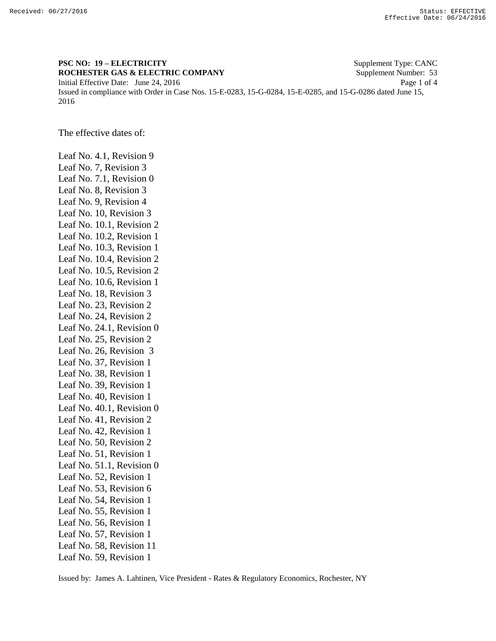## **PSC NO: 19 – ELECTRICITY** Supplement Type: CANC **ROCHESTER GAS & ELECTRIC COMPANY** Supplement Number: 53 Initial Effective Date: June 24, 2016 Page 1 of 4 Issued in compliance with Order in Case Nos. 15-E-0283, 15-G-0284, 15-E-0285, and 15-G-0286 dated June 15, 2016

The effective dates of:

Leaf No. 4.1, Revision 9 Leaf No. 7, Revision 3 Leaf No. 7.1, Revision 0 Leaf No. 8, Revision 3 Leaf No. 9, Revision 4 Leaf No. 10, Revision 3 Leaf No. 10.1, Revision 2 Leaf No. 10.2, Revision 1 Leaf No. 10.3, Revision 1 Leaf No. 10.4, Revision 2 Leaf No. 10.5, Revision 2 Leaf No. 10.6, Revision 1 Leaf No. 18, Revision 3 Leaf No. 23, Revision 2 Leaf No. 24, Revision 2 Leaf No. 24.1, Revision 0 Leaf No. 25, Revision 2 Leaf No. 26, Revision 3 Leaf No. 37, Revision 1 Leaf No. 38, Revision 1 Leaf No. 39, Revision 1 Leaf No. 40, Revision 1 Leaf No. 40.1, Revision 0 Leaf No. 41, Revision 2 Leaf No. 42, Revision 1 Leaf No. 50, Revision 2 Leaf No. 51, Revision 1 Leaf No. 51.1, Revision 0 Leaf No. 52, Revision 1 Leaf No. 53, Revision 6 Leaf No. 54, Revision 1 Leaf No. 55, Revision 1 Leaf No. 56, Revision 1 Leaf No. 57, Revision 1 Leaf No. 58, Revision 11 Leaf No. 59, Revision 1

Issued by: James A. Lahtinen, Vice President - Rates & Regulatory Economics, Rochester, NY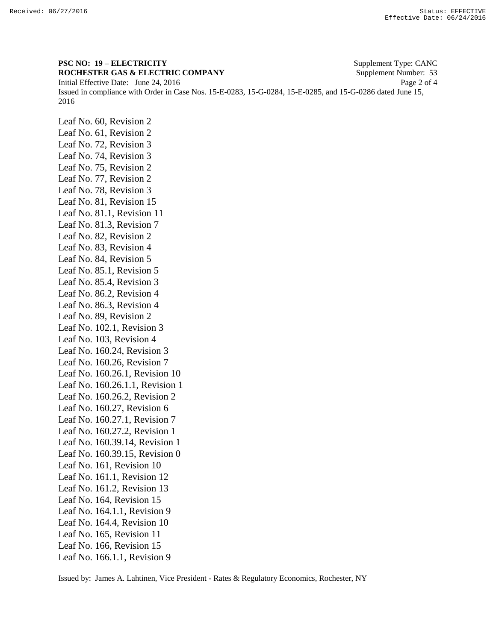**PSC NO: 19 – ELECTRICITY** Supplement Type: CANC **ROCHESTER GAS & ELECTRIC COMPANY** Supplement Number: 53 Initial Effective Date: June 24, 2016 Page 2 of 4 Issued in compliance with Order in Case Nos. 15-E-0283, 15-G-0284, 15-E-0285, and 15-G-0286 dated June 15, 2016

Leaf No. 60, Revision 2 Leaf No. 61, Revision 2 Leaf No. 72, Revision 3 Leaf No. 74, Revision 3 Leaf No. 75, Revision 2 Leaf No. 77, Revision 2 Leaf No. 78, Revision 3 Leaf No. 81, Revision 15 Leaf No. 81.1, Revision 11 Leaf No. 81.3, Revision 7 Leaf No. 82, Revision 2 Leaf No. 83, Revision 4 Leaf No. 84, Revision 5 Leaf No. 85.1, Revision 5 Leaf No. 85.4, Revision 3 Leaf No. 86.2, Revision 4 Leaf No. 86.3, Revision 4 Leaf No. 89, Revision 2 Leaf No. 102.1, Revision 3 Leaf No. 103, Revision 4 Leaf No. 160.24, Revision 3 Leaf No. 160.26, Revision 7 Leaf No. 160.26.1, Revision 10 Leaf No. 160.26.1.1, Revision 1 Leaf No. 160.26.2, Revision 2 Leaf No. 160.27, Revision 6 Leaf No. 160.27.1, Revision 7 Leaf No. 160.27.2, Revision 1 Leaf No. 160.39.14, Revision 1 Leaf No. 160.39.15, Revision 0 Leaf No. 161, Revision 10 Leaf No. 161.1, Revision 12 Leaf No. 161.2, Revision 13 Leaf No. 164, Revision 15 Leaf No. 164.1.1, Revision 9 Leaf No. 164.4, Revision 10 Leaf No. 165, Revision 11 Leaf No. 166, Revision 15 Leaf No. 166.1.1, Revision 9

Issued by: James A. Lahtinen, Vice President - Rates & Regulatory Economics, Rochester, NY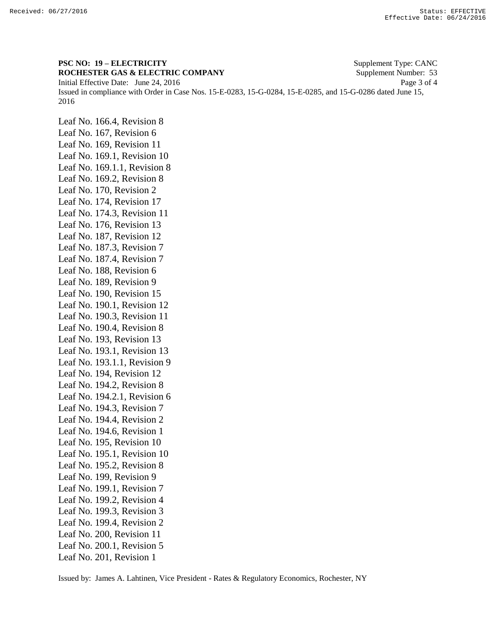**PSC NO: 19 – ELECTRICITY** Supplement Type: CANC **ROCHESTER GAS & ELECTRIC COMPANY** Supplement Number: 53 Initial Effective Date: June 24, 2016 Page 3 of 4 Issued in compliance with Order in Case Nos. 15-E-0283, 15-G-0284, 15-E-0285, and 15-G-0286 dated June 15, 2016

Leaf No. 166.4, Revision 8 Leaf No. 167, Revision 6 Leaf No. 169, Revision 11 Leaf No. 169.1, Revision 10 Leaf No. 169.1.1, Revision 8 Leaf No. 169.2, Revision 8 Leaf No. 170, Revision 2 Leaf No. 174, Revision 17 Leaf No. 174.3, Revision 11 Leaf No. 176, Revision 13 Leaf No. 187, Revision 12 Leaf No. 187.3, Revision 7 Leaf No. 187.4, Revision 7 Leaf No. 188, Revision 6 Leaf No. 189, Revision 9 Leaf No. 190, Revision 15 Leaf No. 190.1, Revision 12 Leaf No. 190.3, Revision 11 Leaf No. 190.4, Revision 8 Leaf No. 193, Revision 13 Leaf No. 193.1, Revision 13 Leaf No. 193.1.1, Revision 9 Leaf No. 194, Revision 12 Leaf No. 194.2, Revision 8 Leaf No. 194.2.1, Revision 6 Leaf No. 194.3, Revision 7 Leaf No. 194.4, Revision 2 Leaf No. 194.6, Revision 1 Leaf No. 195, Revision 10 Leaf No. 195.1, Revision 10 Leaf No. 195.2, Revision 8 Leaf No. 199, Revision 9 Leaf No. 199.1, Revision 7 Leaf No. 199.2, Revision 4 Leaf No. 199.3, Revision 3 Leaf No. 199.4, Revision 2 Leaf No. 200, Revision 11 Leaf No. 200.1, Revision 5 Leaf No. 201, Revision 1

Issued by: James A. Lahtinen, Vice President - Rates & Regulatory Economics, Rochester, NY